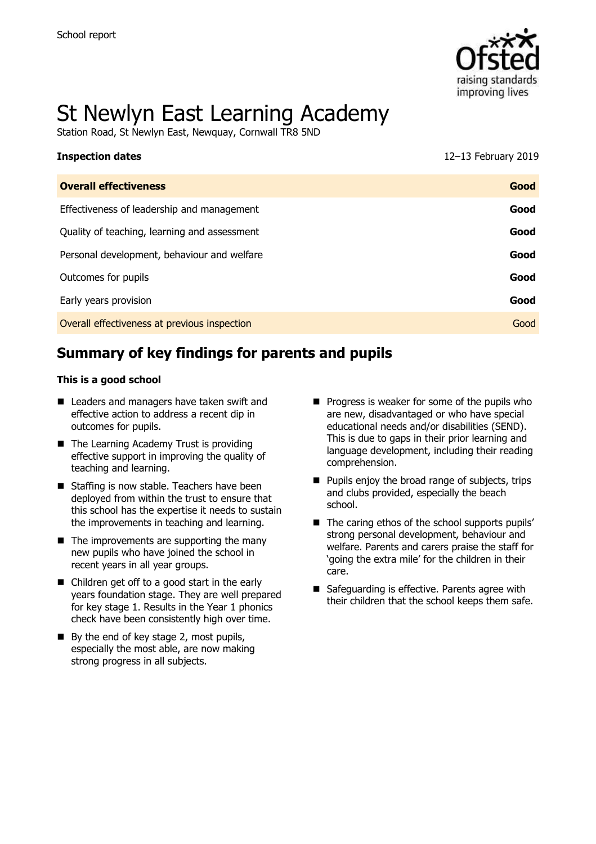

# St Newlyn East Learning Academy

Station Road, St Newlyn East, Newquay, Cornwall TR8 5ND

| <b>Inspection dates</b>                      | 12-13 February 2019 |
|----------------------------------------------|---------------------|
| <b>Overall effectiveness</b>                 | Good                |
| Effectiveness of leadership and management   | Good                |
| Quality of teaching, learning and assessment | Good                |
| Personal development, behaviour and welfare  | Good                |
| Outcomes for pupils                          | Good                |
| Early years provision                        | Good                |
| Overall effectiveness at previous inspection | Good                |

# **Summary of key findings for parents and pupils**

#### **This is a good school**

- Leaders and managers have taken swift and effective action to address a recent dip in outcomes for pupils.
- The Learning Academy Trust is providing effective support in improving the quality of teaching and learning.
- Staffing is now stable. Teachers have been deployed from within the trust to ensure that this school has the expertise it needs to sustain the improvements in teaching and learning.
- $\blacksquare$  The improvements are supporting the many new pupils who have joined the school in recent years in all year groups.
- Children get off to a good start in the early years foundation stage. They are well prepared for key stage 1. Results in the Year 1 phonics check have been consistently high over time.
- By the end of key stage 2, most pupils, especially the most able, are now making strong progress in all subjects.
- $\blacksquare$  Progress is weaker for some of the pupils who are new, disadvantaged or who have special educational needs and/or disabilities (SEND). This is due to gaps in their prior learning and language development, including their reading comprehension.
- $\blacksquare$  Pupils enjoy the broad range of subjects, trips and clubs provided, especially the beach school.
- The caring ethos of the school supports pupils' strong personal development, behaviour and welfare. Parents and carers praise the staff for 'going the extra mile' for the children in their care.
- Safeguarding is effective. Parents agree with their children that the school keeps them safe.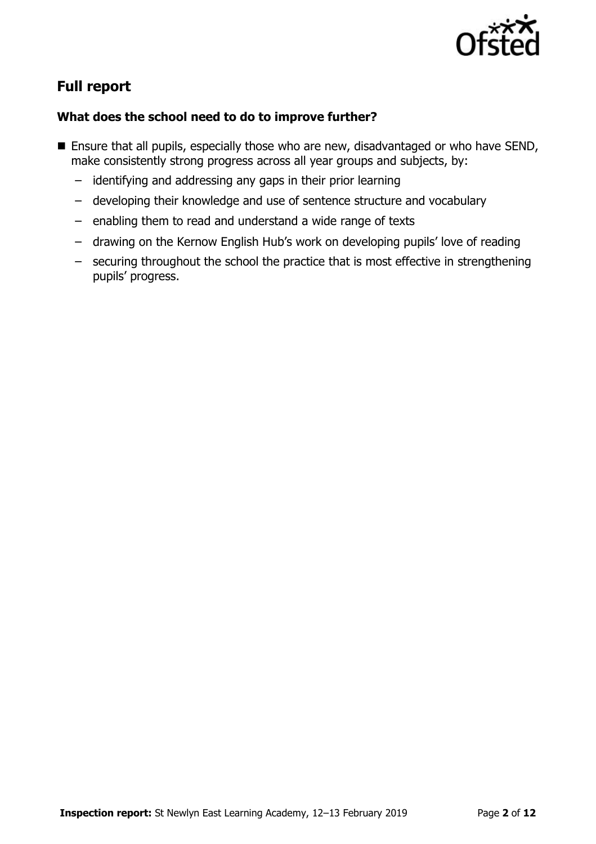

# **Full report**

## **What does the school need to do to improve further?**

- **E** Ensure that all pupils, especially those who are new, disadvantaged or who have SEND, make consistently strong progress across all year groups and subjects, by:
	- identifying and addressing any gaps in their prior learning
	- developing their knowledge and use of sentence structure and vocabulary
	- enabling them to read and understand a wide range of texts
	- drawing on the Kernow English Hub's work on developing pupils' love of reading
	- securing throughout the school the practice that is most effective in strengthening pupils' progress.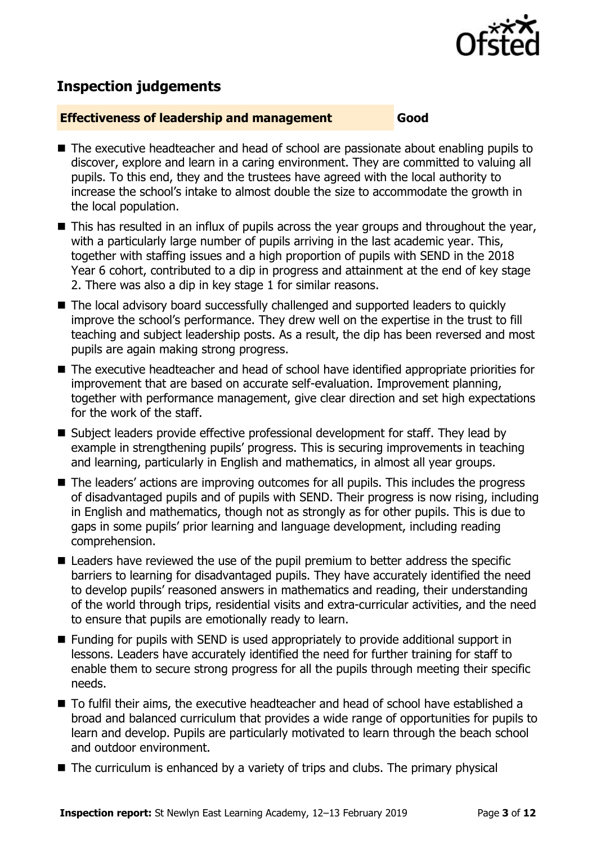

# **Inspection judgements**

#### **Effectiveness of leadership and management Good**

- The executive headteacher and head of school are passionate about enabling pupils to discover, explore and learn in a caring environment. They are committed to valuing all pupils. To this end, they and the trustees have agreed with the local authority to increase the school's intake to almost double the size to accommodate the growth in the local population.
- $\blacksquare$  This has resulted in an influx of pupils across the year groups and throughout the year, with a particularly large number of pupils arriving in the last academic year. This, together with staffing issues and a high proportion of pupils with SEND in the 2018 Year 6 cohort, contributed to a dip in progress and attainment at the end of key stage 2. There was also a dip in key stage 1 for similar reasons.
- The local advisory board successfully challenged and supported leaders to quickly improve the school's performance. They drew well on the expertise in the trust to fill teaching and subject leadership posts. As a result, the dip has been reversed and most pupils are again making strong progress.
- The executive headteacher and head of school have identified appropriate priorities for improvement that are based on accurate self-evaluation. Improvement planning, together with performance management, give clear direction and set high expectations for the work of the staff.
- Subject leaders provide effective professional development for staff. They lead by example in strengthening pupils' progress. This is securing improvements in teaching and learning, particularly in English and mathematics, in almost all year groups.
- The leaders' actions are improving outcomes for all pupils. This includes the progress of disadvantaged pupils and of pupils with SEND. Their progress is now rising, including in English and mathematics, though not as strongly as for other pupils. This is due to gaps in some pupils' prior learning and language development, including reading comprehension.
- Leaders have reviewed the use of the pupil premium to better address the specific barriers to learning for disadvantaged pupils. They have accurately identified the need to develop pupils' reasoned answers in mathematics and reading, their understanding of the world through trips, residential visits and extra-curricular activities, and the need to ensure that pupils are emotionally ready to learn.
- Funding for pupils with SEND is used appropriately to provide additional support in lessons. Leaders have accurately identified the need for further training for staff to enable them to secure strong progress for all the pupils through meeting their specific needs.
- To fulfil their aims, the executive headteacher and head of school have established a broad and balanced curriculum that provides a wide range of opportunities for pupils to learn and develop. Pupils are particularly motivated to learn through the beach school and outdoor environment.
- The curriculum is enhanced by a variety of trips and clubs. The primary physical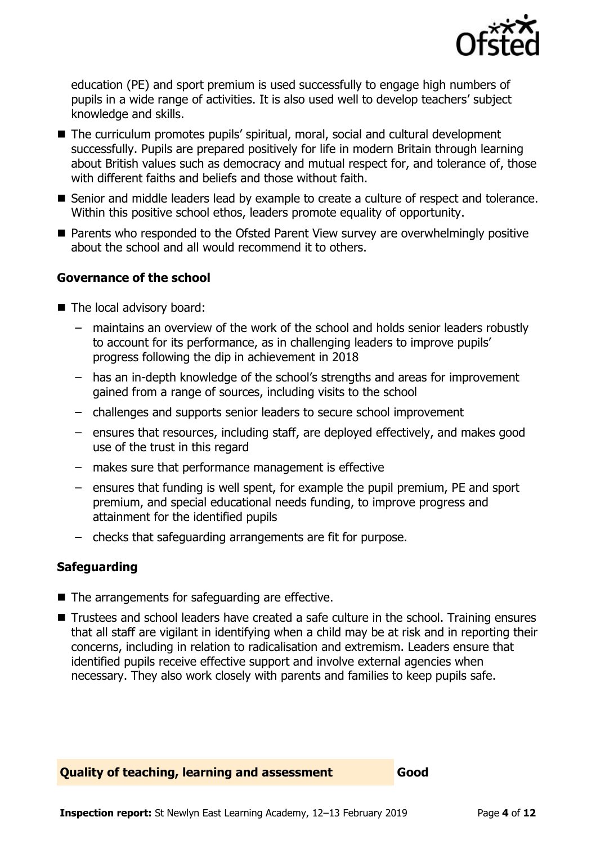

education (PE) and sport premium is used successfully to engage high numbers of pupils in a wide range of activities. It is also used well to develop teachers' subject knowledge and skills.

- The curriculum promotes pupils' spiritual, moral, social and cultural development successfully. Pupils are prepared positively for life in modern Britain through learning about British values such as democracy and mutual respect for, and tolerance of, those with different faiths and beliefs and those without faith.
- Senior and middle leaders lead by example to create a culture of respect and tolerance. Within this positive school ethos, leaders promote equality of opportunity.
- Parents who responded to the Ofsted Parent View survey are overwhelmingly positive about the school and all would recommend it to others.

## **Governance of the school**

- The local advisory board:
	- maintains an overview of the work of the school and holds senior leaders robustly to account for its performance, as in challenging leaders to improve pupils' progress following the dip in achievement in 2018
	- has an in-depth knowledge of the school's strengths and areas for improvement gained from a range of sources, including visits to the school
	- challenges and supports senior leaders to secure school improvement
	- ensures that resources, including staff, are deployed effectively, and makes good use of the trust in this regard
	- makes sure that performance management is effective
	- ensures that funding is well spent, for example the pupil premium, PE and sport premium, and special educational needs funding, to improve progress and attainment for the identified pupils
	- checks that safeguarding arrangements are fit for purpose.

## **Safeguarding**

- The arrangements for safeguarding are effective.
- Trustees and school leaders have created a safe culture in the school. Training ensures that all staff are vigilant in identifying when a child may be at risk and in reporting their concerns, including in relation to radicalisation and extremism. Leaders ensure that identified pupils receive effective support and involve external agencies when necessary. They also work closely with parents and families to keep pupils safe.

## **Quality of teaching, learning and assessment Good**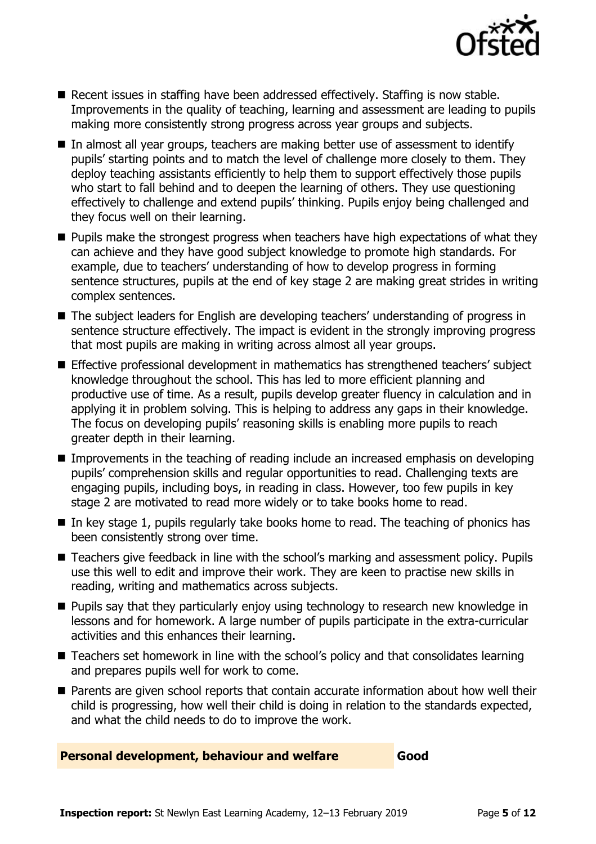

- Recent issues in staffing have been addressed effectively. Staffing is now stable. Improvements in the quality of teaching, learning and assessment are leading to pupils making more consistently strong progress across year groups and subjects.
- In almost all year groups, teachers are making better use of assessment to identify pupils' starting points and to match the level of challenge more closely to them. They deploy teaching assistants efficiently to help them to support effectively those pupils who start to fall behind and to deepen the learning of others. They use questioning effectively to challenge and extend pupils' thinking. Pupils enjoy being challenged and they focus well on their learning.
- $\blacksquare$  Pupils make the strongest progress when teachers have high expectations of what they can achieve and they have good subject knowledge to promote high standards. For example, due to teachers' understanding of how to develop progress in forming sentence structures, pupils at the end of key stage 2 are making great strides in writing complex sentences.
- The subject leaders for English are developing teachers' understanding of progress in sentence structure effectively. The impact is evident in the strongly improving progress that most pupils are making in writing across almost all year groups.
- Effective professional development in mathematics has strengthened teachers' subject knowledge throughout the school. This has led to more efficient planning and productive use of time. As a result, pupils develop greater fluency in calculation and in applying it in problem solving. This is helping to address any gaps in their knowledge. The focus on developing pupils' reasoning skills is enabling more pupils to reach greater depth in their learning.
- **IMPROMERGERS** In the teaching of reading include an increased emphasis on developing pupils' comprehension skills and regular opportunities to read. Challenging texts are engaging pupils, including boys, in reading in class. However, too few pupils in key stage 2 are motivated to read more widely or to take books home to read.
- $\blacksquare$  In key stage 1, pupils regularly take books home to read. The teaching of phonics has been consistently strong over time.
- Teachers give feedback in line with the school's marking and assessment policy. Pupils use this well to edit and improve their work. They are keen to practise new skills in reading, writing and mathematics across subjects.
- **Pupils say that they particularly enjoy using technology to research new knowledge in** lessons and for homework. A large number of pupils participate in the extra-curricular activities and this enhances their learning.
- Teachers set homework in line with the school's policy and that consolidates learning and prepares pupils well for work to come.
- **Parents are given school reports that contain accurate information about how well their** child is progressing, how well their child is doing in relation to the standards expected, and what the child needs to do to improve the work.

#### **Personal development, behaviour and welfare Good**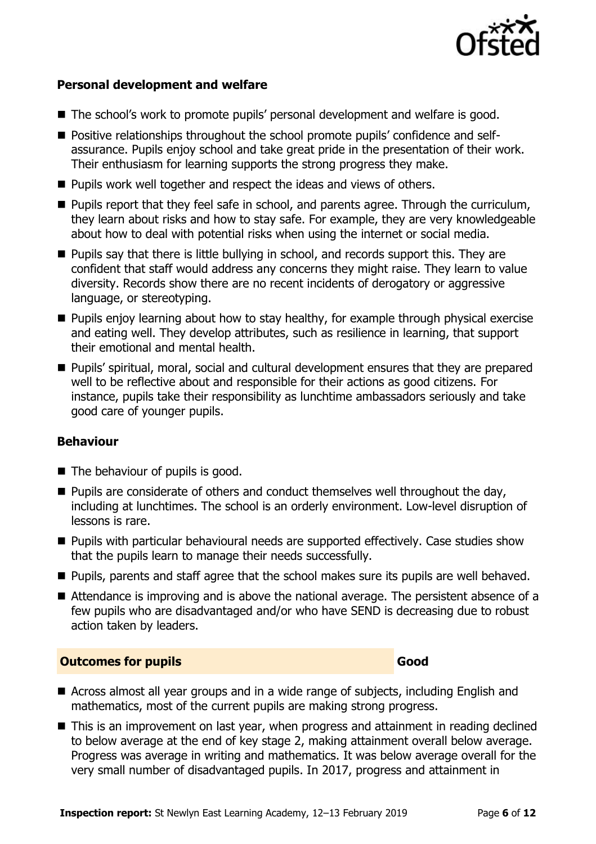

#### **Personal development and welfare**

- The school's work to promote pupils' personal development and welfare is good.
- **Positive relationships throughout the school promote pupils' confidence and self**assurance. Pupils enjoy school and take great pride in the presentation of their work. Their enthusiasm for learning supports the strong progress they make.
- **Pupils work well together and respect the ideas and views of others.**
- **Pupils report that they feel safe in school, and parents agree. Through the curriculum,** they learn about risks and how to stay safe. For example, they are very knowledgeable about how to deal with potential risks when using the internet or social media.
- **Pupils say that there is little bullying in school, and records support this. They are** confident that staff would address any concerns they might raise. They learn to value diversity. Records show there are no recent incidents of derogatory or aggressive language, or stereotyping.
- **Pupils enjoy learning about how to stay healthy, for example through physical exercise** and eating well. They develop attributes, such as resilience in learning, that support their emotional and mental health.
- **Pupils' spiritual, moral, social and cultural development ensures that they are prepared** well to be reflective about and responsible for their actions as good citizens. For instance, pupils take their responsibility as lunchtime ambassadors seriously and take good care of younger pupils.

#### **Behaviour**

- $\blacksquare$  The behaviour of pupils is good.
- $\blacksquare$  Pupils are considerate of others and conduct themselves well throughout the day, including at lunchtimes. The school is an orderly environment. Low-level disruption of lessons is rare.
- **Pupils with particular behavioural needs are supported effectively. Case studies show** that the pupils learn to manage their needs successfully.
- **Pupils, parents and staff agree that the school makes sure its pupils are well behaved.**
- Attendance is improving and is above the national average. The persistent absence of a few pupils who are disadvantaged and/or who have SEND is decreasing due to robust action taken by leaders.

#### **Outcomes for pupils Good**

- Across almost all year groups and in a wide range of subjects, including English and mathematics, most of the current pupils are making strong progress.
- This is an improvement on last year, when progress and attainment in reading declined to below average at the end of key stage 2, making attainment overall below average. Progress was average in writing and mathematics. It was below average overall for the very small number of disadvantaged pupils. In 2017, progress and attainment in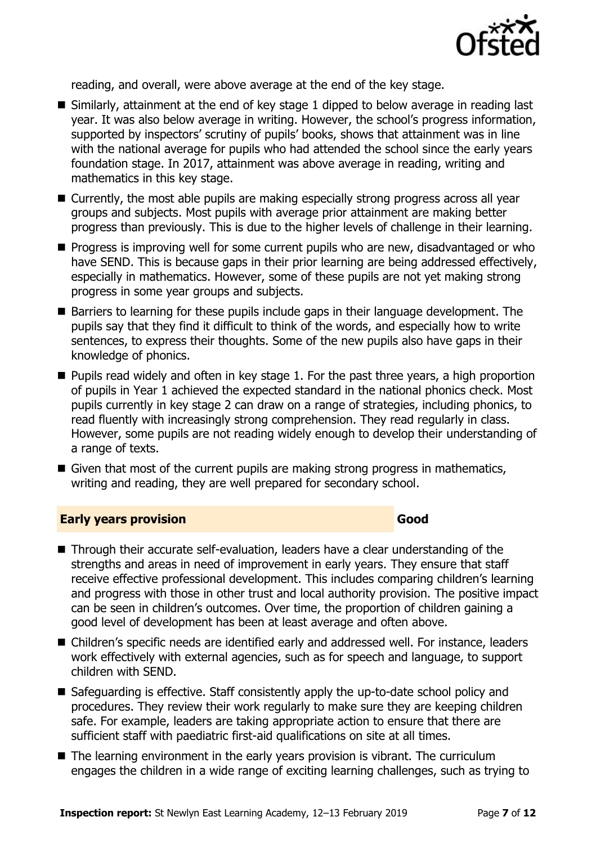

reading, and overall, were above average at the end of the key stage.

- Similarly, attainment at the end of key stage 1 dipped to below average in reading last year. It was also below average in writing. However, the school's progress information, supported by inspectors' scrutiny of pupils' books, shows that attainment was in line with the national average for pupils who had attended the school since the early years foundation stage. In 2017, attainment was above average in reading, writing and mathematics in this key stage.
- Currently, the most able pupils are making especially strong progress across all year groups and subjects. Most pupils with average prior attainment are making better progress than previously. This is due to the higher levels of challenge in their learning.
- **Progress is improving well for some current pupils who are new, disadvantaged or who** have SEND. This is because gaps in their prior learning are being addressed effectively, especially in mathematics. However, some of these pupils are not yet making strong progress in some year groups and subjects.
- Barriers to learning for these pupils include gaps in their language development. The pupils say that they find it difficult to think of the words, and especially how to write sentences, to express their thoughts. Some of the new pupils also have gaps in their knowledge of phonics.
- $\blacksquare$  Pupils read widely and often in key stage 1. For the past three years, a high proportion of pupils in Year 1 achieved the expected standard in the national phonics check. Most pupils currently in key stage 2 can draw on a range of strategies, including phonics, to read fluently with increasingly strong comprehension. They read regularly in class. However, some pupils are not reading widely enough to develop their understanding of a range of texts.
- Given that most of the current pupils are making strong progress in mathematics, writing and reading, they are well prepared for secondary school.

#### **Early years provision Good**

- Through their accurate self-evaluation, leaders have a clear understanding of the strengths and areas in need of improvement in early years. They ensure that staff receive effective professional development. This includes comparing children's learning and progress with those in other trust and local authority provision. The positive impact can be seen in children's outcomes. Over time, the proportion of children gaining a good level of development has been at least average and often above.
- Children's specific needs are identified early and addressed well. For instance, leaders work effectively with external agencies, such as for speech and language, to support children with SEND.
- Safeguarding is effective. Staff consistently apply the up-to-date school policy and procedures. They review their work regularly to make sure they are keeping children safe. For example, leaders are taking appropriate action to ensure that there are sufficient staff with paediatric first-aid qualifications on site at all times.
- The learning environment in the early years provision is vibrant. The curriculum engages the children in a wide range of exciting learning challenges, such as trying to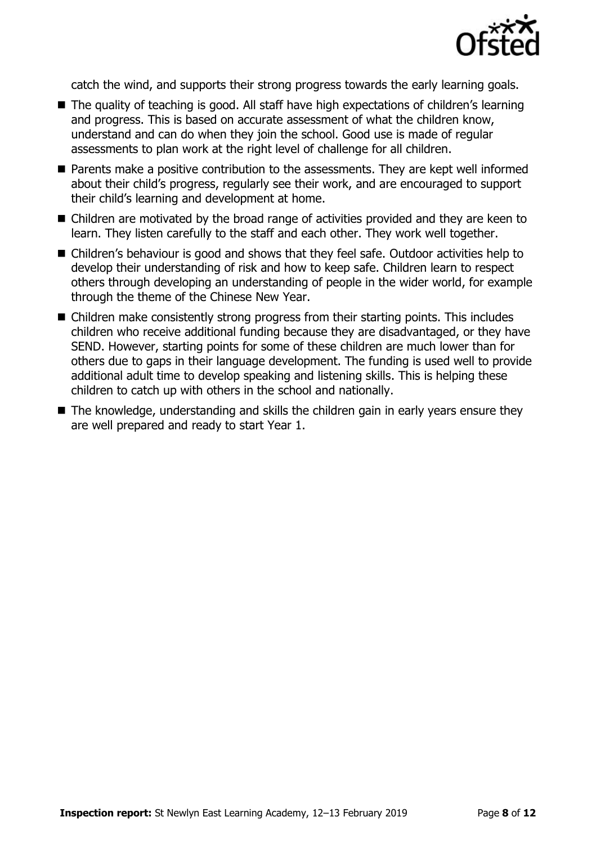

catch the wind, and supports their strong progress towards the early learning goals.

- The quality of teaching is good. All staff have high expectations of children's learning and progress. This is based on accurate assessment of what the children know, understand and can do when they join the school. Good use is made of regular assessments to plan work at the right level of challenge for all children.
- **Parents make a positive contribution to the assessments. They are kept well informed** about their child's progress, regularly see their work, and are encouraged to support their child's learning and development at home.
- Children are motivated by the broad range of activities provided and they are keen to learn. They listen carefully to the staff and each other. They work well together.
- Children's behaviour is good and shows that they feel safe. Outdoor activities help to develop their understanding of risk and how to keep safe. Children learn to respect others through developing an understanding of people in the wider world, for example through the theme of the Chinese New Year.
- Children make consistently strong progress from their starting points. This includes children who receive additional funding because they are disadvantaged, or they have SEND. However, starting points for some of these children are much lower than for others due to gaps in their language development. The funding is used well to provide additional adult time to develop speaking and listening skills. This is helping these children to catch up with others in the school and nationally.
- The knowledge, understanding and skills the children gain in early years ensure they are well prepared and ready to start Year 1.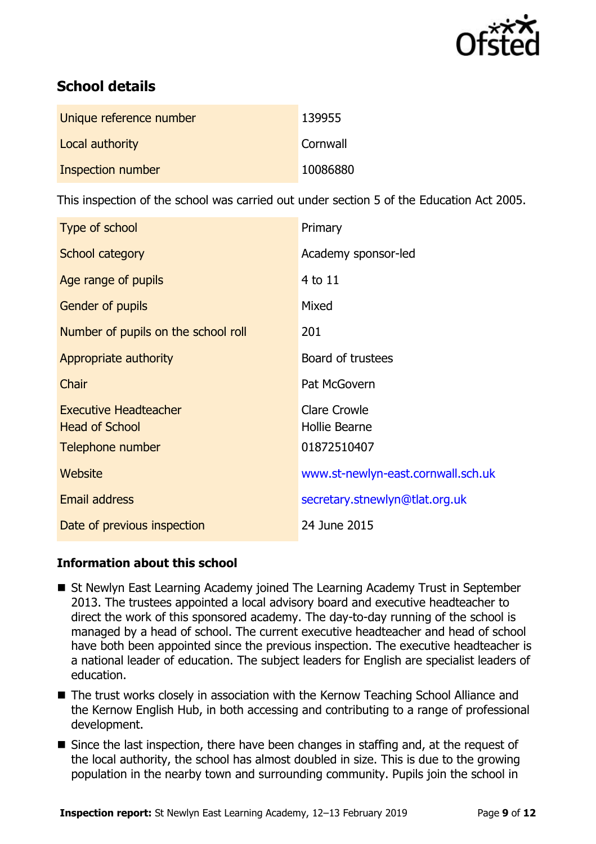

# **School details**

| Unique reference number | 139955   |
|-------------------------|----------|
| Local authority         | Cornwall |
| Inspection number       | 10086880 |

This inspection of the school was carried out under section 5 of the Education Act 2005.

| Type of school                                                            | Primary                                             |
|---------------------------------------------------------------------------|-----------------------------------------------------|
| School category                                                           | Academy sponsor-led                                 |
| Age range of pupils                                                       | 4 to 11                                             |
| Gender of pupils                                                          | Mixed                                               |
| Number of pupils on the school roll                                       | 201                                                 |
| Appropriate authority                                                     | Board of trustees                                   |
| Chair                                                                     | Pat McGovern                                        |
| <b>Executive Headteacher</b><br><b>Head of School</b><br>Telephone number | <b>Clare Crowle</b><br>Hollie Bearne<br>01872510407 |
| Website                                                                   | www.st-newlyn-east.cornwall.sch.uk                  |
| <b>Email address</b>                                                      | secretary.stnewlyn@tlat.org.uk                      |
| Date of previous inspection                                               | 24 June 2015                                        |

## **Information about this school**

- St Newlyn East Learning Academy joined The Learning Academy Trust in September 2013. The trustees appointed a local advisory board and executive headteacher to direct the work of this sponsored academy. The day-to-day running of the school is managed by a head of school. The current executive headteacher and head of school have both been appointed since the previous inspection. The executive headteacher is a national leader of education. The subject leaders for English are specialist leaders of education.
- The trust works closely in association with the Kernow Teaching School Alliance and the Kernow English Hub, in both accessing and contributing to a range of professional development.
- Since the last inspection, there have been changes in staffing and, at the request of the local authority, the school has almost doubled in size. This is due to the growing population in the nearby town and surrounding community. Pupils join the school in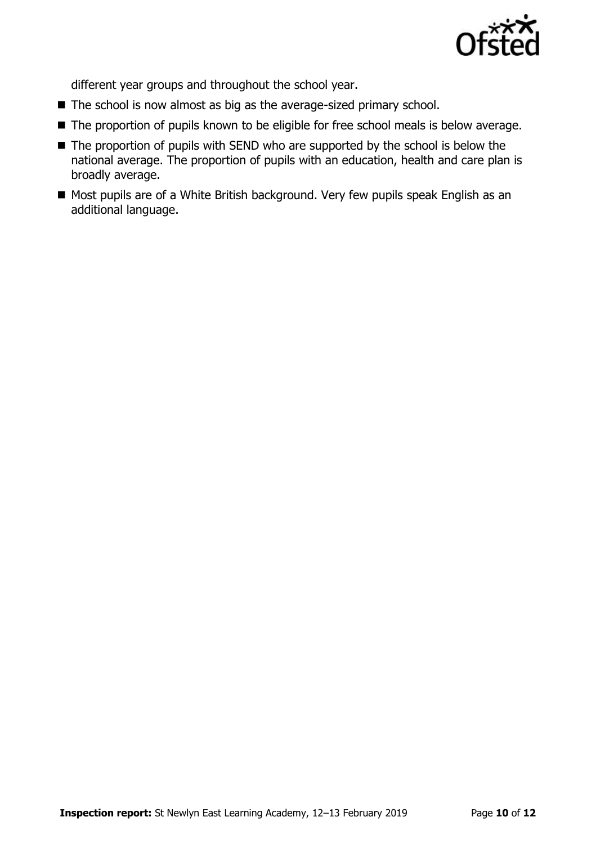

different year groups and throughout the school year.

- The school is now almost as big as the average-sized primary school.
- The proportion of pupils known to be eligible for free school meals is below average.
- The proportion of pupils with SEND who are supported by the school is below the national average. The proportion of pupils with an education, health and care plan is broadly average.
- Most pupils are of a White British background. Very few pupils speak English as an additional language.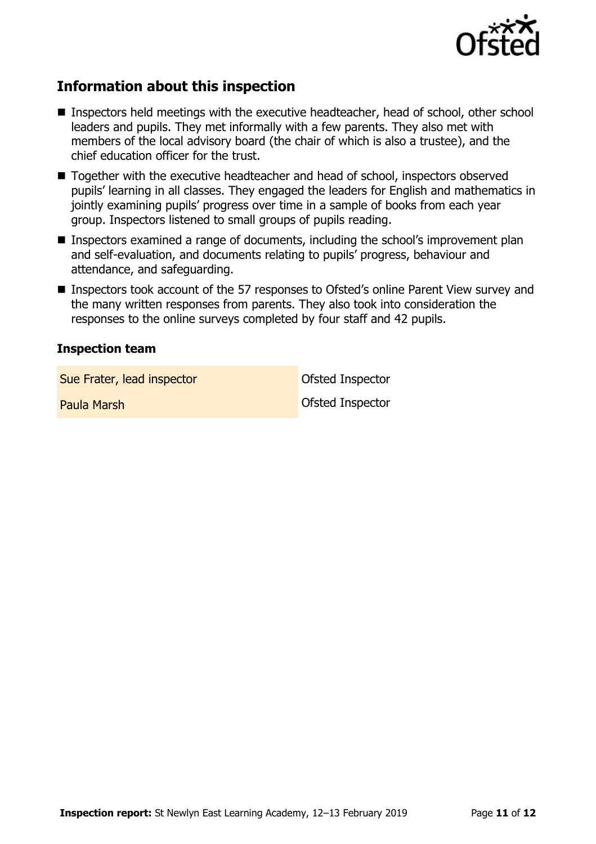

## **Information about this inspection**

- Inspectors held meetings with the executive headteacher, head of school, other school leaders and pupils. They met informally with a few parents. They also met with members of the local advisory board (the chair of which is also a trustee), and the chief education officer for the trust.
- Together with the executive headteacher and head of school, inspectors observed pupils' learning in all classes. They engaged the leaders for English and mathematics in jointly examining pupils' progress over time in a sample of books from each year group. Inspectors listened to small groups of pupils reading.
- **Inspectors examined a range of documents, including the school's improvement plan** and self-evaluation, and documents relating to pupils' progress, behaviour and attendance, and safeguarding.
- Inspectors took account of the 57 responses to Ofsted's online Parent View survey and the many written responses from parents. They also took into consideration the responses to the online surveys completed by four staff and 42 pupils.

#### **Inspection team**

Sue Frater, lead inspector and offsted Inspector

Paula Marsh Ofsted Inspector